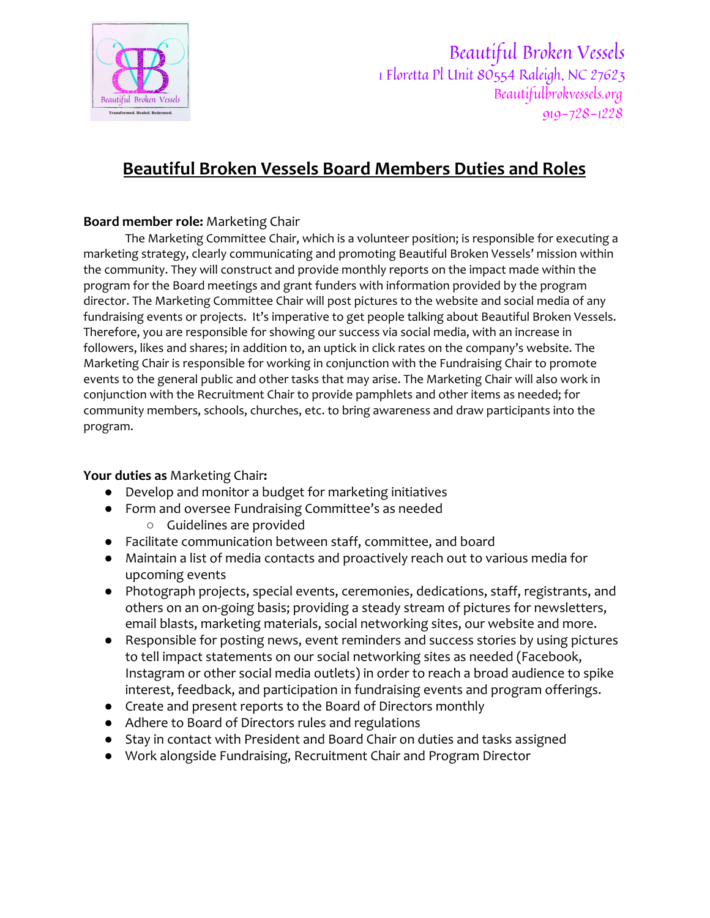

Beautiful Broken Vessels 1 Floretta Pl Unit 80554 Raleigh, NC 27623 Beautifulbrokvessels.org 919-728-1228

# **Beautiful Broken Vessels Board Members Duties and Roles**

## **Board member role:** Marketing Chair

The Marketing Committee Chair, which is a volunteer position; is responsible for executing a marketing strategy, clearly communicating and promoting Beautiful Broken Vessels' mission within the community. They will construct and provide monthly reports on the impact made within the program for the Board meetings and grant funders with information provided by the program director. The Marketing Committee Chair will post pictures to the website and social media of any fundraising events or projects. It's imperative to get people talking about Beautiful Broken Vessels. Therefore, you are responsible for showing our success via social media, with an increase in followers, likes and shares; in addition to, an uptick in click rates on the company's website. The Marketing Chair is responsible for working in conjunction with the Fundraising Chair to promote events to the general public and other tasks that may arise. The Marketing Chair will also work in conjunction with the Recruitment Chair to provide pamphlets and other items as needed; for community members, schools, churches, etc. to bring awareness and draw participants into the program.

### **Your duties as** Marketing Chair**:**

- **●** Develop and monitor a budget for marketing initiatives
- Form and oversee Fundraising Committee's as needed
	- Guidelines are provided
- **●** Facilitate communication between staff, committee, and board
- **●** Maintain a list of media contacts and proactively reach out to various media for upcoming events
- Photograph projects, special events, ceremonies, dedications, staff, registrants, and others on an on-going basis; providing a steady stream of pictures for newsletters, email blasts, marketing materials, social networking sites, our website and more.
- Responsible for posting news, event reminders and success stories by using pictures to tell impact statements on our social networking sites as needed (Facebook, Instagram or other social media outlets) in order to reach a broad audience to spike interest, feedback, and participation in fundraising events and program offerings.
- Create and present reports to the Board of Directors monthly
- Adhere to Board of Directors rules and regulations
- Stay in contact with President and Board Chair on duties and tasks assigned
- Work alongside Fundraising, Recruitment Chair and Program Director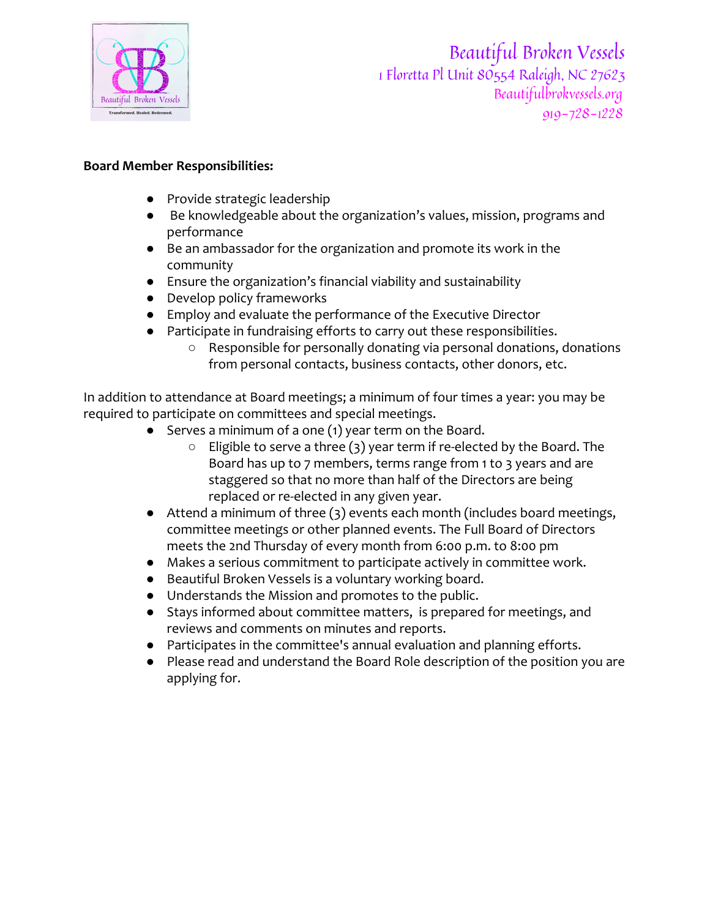

Beautiful Broken Vessels 1 Floretta Pl Unit 80554 Raleigh, NC 27623 Beautifulbrokvessels.org 919-728-1228

### **Board Member Responsibilities:**

- Provide strategic leadership
- Be knowledgeable about the organization's values, mission, programs and performance
- Be an ambassador for the organization and promote its work in the community
- Ensure the organization's financial viability and sustainability
- Develop policy frameworks
- Employ and evaluate the performance of the Executive Director
- Participate in fundraising efforts to carry out these responsibilities.
	- Responsible for personally donating via personal donations, donations from personal contacts, business contacts, other donors, etc.

In addition to attendance at Board meetings; a minimum of four times a year: you may be required to participate on committees and special meetings.

- Serves a minimum of a one (1) year term on the Board.
	- Eligible to serve a three (3) year term if re-elected by the Board. The Board has up to 7 members, terms range from 1 to 3 years and are staggered so that no more than half of the Directors are being replaced or re-elected in any given year.
- Attend a minimum of three (3) events each month (includes board meetings, committee meetings or other planned events. The Full Board of Directors meets the 2nd Thursday of every month from 6:00 p.m. to 8:00 pm
- Makes a serious commitment to participate actively in committee work.
- Beautiful Broken Vessels is a voluntary working board.
- Understands the Mission and promotes to the public.
- Stays informed about committee matters, is prepared for meetings, and reviews and comments on minutes and reports.
- Participates in the committee's annual evaluation and planning efforts.
- Please read and understand the Board Role description of the position you are applying for.